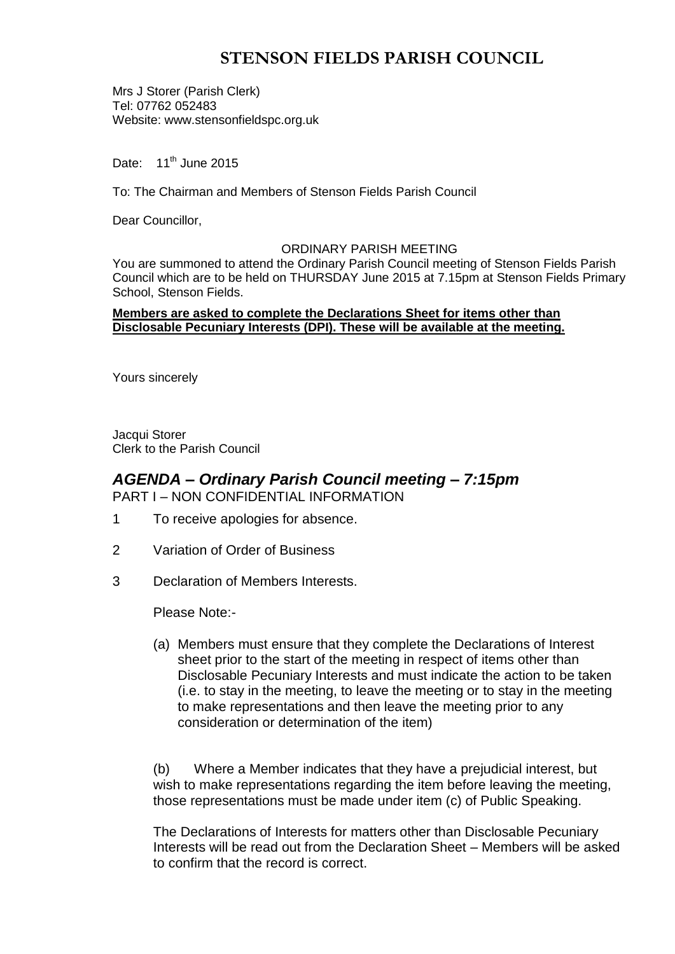# **STENSON FIELDS PARISH COUNCIL**

Mrs J Storer (Parish Clerk) Tel: 07762 052483 Website: www.stensonfieldspc.org.uk

Date:  $11^{th}$  June 2015

To: The Chairman and Members of Stenson Fields Parish Council

Dear Councillor,

### ORDINARY PARISH MEETING

You are summoned to attend the Ordinary Parish Council meeting of Stenson Fields Parish Council which are to be held on THURSDAY June 2015 at 7.15pm at Stenson Fields Primary School, Stenson Fields.

### **Members are asked to complete the Declarations Sheet for items other than Disclosable Pecuniary Interests (DPI). These will be available at the meeting.**

Yours sincerely

Jacqui Storer Clerk to the Parish Council

## *AGENDA – Ordinary Parish Council meeting – 7:15pm* PART I – NON CONFIDENTIAL INFORMATION

- 1 To receive apologies for absence.
- 2 Variation of Order of Business
- 3 Declaration of Members Interests.

Please Note:-

(a) Members must ensure that they complete the Declarations of Interest sheet prior to the start of the meeting in respect of items other than Disclosable Pecuniary Interests and must indicate the action to be taken (i.e. to stay in the meeting, to leave the meeting or to stay in the meeting to make representations and then leave the meeting prior to any consideration or determination of the item)

(b) Where a Member indicates that they have a prejudicial interest, but wish to make representations regarding the item before leaving the meeting, those representations must be made under item (c) of Public Speaking.

The Declarations of Interests for matters other than Disclosable Pecuniary Interests will be read out from the Declaration Sheet – Members will be asked to confirm that the record is correct.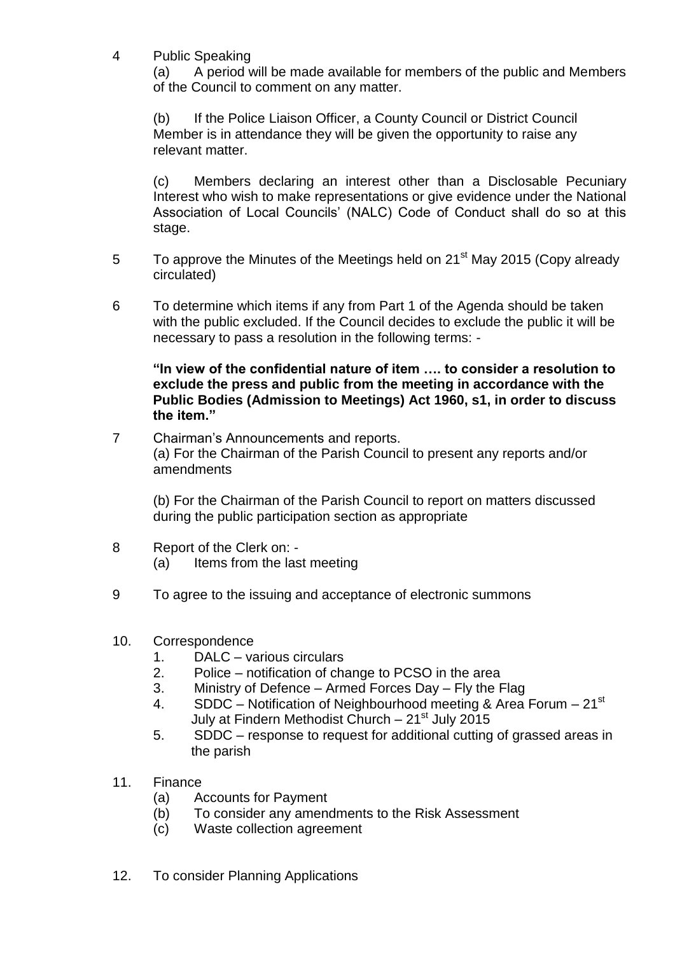4 Public Speaking

(a) A period will be made available for members of the public and Members of the Council to comment on any matter.

(b) If the Police Liaison Officer, a County Council or District Council Member is in attendance they will be given the opportunity to raise any relevant matter.

(c) Members declaring an interest other than a Disclosable Pecuniary Interest who wish to make representations or give evidence under the National Association of Local Councils' (NALC) Code of Conduct shall do so at this stage.

- 5 To approve the Minutes of the Meetings held on 21<sup>st</sup> May 2015 (Copy already circulated)
- 6 To determine which items if any from Part 1 of the Agenda should be taken with the public excluded. If the Council decides to exclude the public it will be necessary to pass a resolution in the following terms: -

**"In view of the confidential nature of item …. to consider a resolution to exclude the press and public from the meeting in accordance with the Public Bodies (Admission to Meetings) Act 1960, s1, in order to discuss the item."** 

7 Chairman's Announcements and reports. (a) For the Chairman of the Parish Council to present any reports and/or amendments

(b) For the Chairman of the Parish Council to report on matters discussed during the public participation section as appropriate

- 8 Report of the Clerk on:
	- (a) Items from the last meeting
- 9 To agree to the issuing and acceptance of electronic summons
- 10. Correspondence
	- 1. DALC various circulars
	- 2. Police notification of change to PCSO in the area
	- 3. Ministry of Defence Armed Forces Day Fly the Flag
	- 4. SDDC Notification of Neighbourhood meeting & Area Forum  $21<sup>st</sup>$ July at Findern Methodist Church  $-21^{st}$  July 2015
	- 5. SDDC response to request for additional cutting of grassed areas in the parish
- 11. Finance
	- (a) Accounts for Payment
	- (b) To consider any amendments to the Risk Assessment
	- (c) Waste collection agreement
- 12. To consider Planning Applications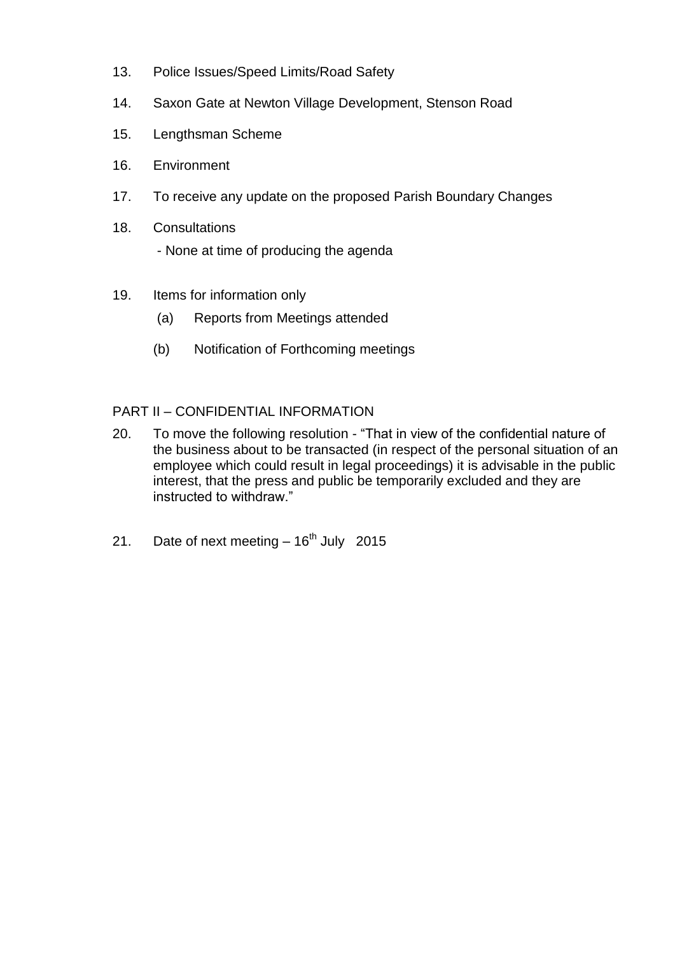- 13. Police Issues/Speed Limits/Road Safety
- 14. Saxon Gate at Newton Village Development, Stenson Road
- 15. Lengthsman Scheme
- 16. Environment
- 17. To receive any update on the proposed Parish Boundary Changes
- 18. Consultations - None at time of producing the agenda
- 19. Items for information only
	- (a) Reports from Meetings attended
	- (b) Notification of Forthcoming meetings

## PART II – CONFIDENTIAL INFORMATION

- 20. To move the following resolution "That in view of the confidential nature of the business about to be transacted (in respect of the personal situation of an employee which could result in legal proceedings) it is advisable in the public interest, that the press and public be temporarily excluded and they are instructed to withdraw."
- 21. Date of next meeting  $-16^{th}$  July 2015